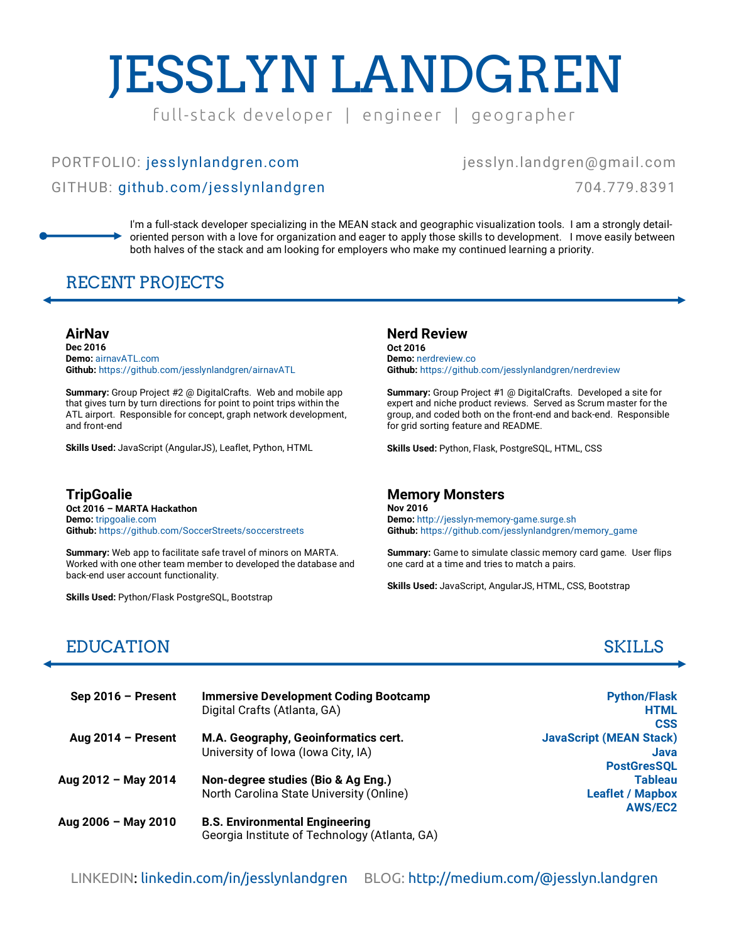# JESSLYN LANDGREN

full- stack developer | engineer | geographer

# PORTFOLIO: jesslynlandgren.com GITHUB: github.com/jesslynlandgren

#### jesslyn.landgren@gmail.com

704.779.8391

I'm a full-stack developer specializing in the MEAN stack and geographic visualization tools. I am a strongly detailoriented person with a love for organization and eager to apply those skills to development. I move easily between both halves of the stack and am looking for employers who make my continued learning a priority.

## RECENT PROJECTS

**AirNav Dec 2016 Demo:** airnavATL.com **Github:** https://github.com/jesslynlandgren/airnavATL

**Summary:** Group Project #2 @ DigitalCrafts. Web and mobile app that gives turn by turn directions for point to point trips within the ATL airport. Responsible for concept, graph network development, and front-end

**Skills Used:** JavaScript (AngularJS), Leaflet, Python, HTML

**TripGoalie Oct 2016 – MARTA Hackathon Demo:** tripgoalie.com **Github:** https://github.com/SoccerStreets/soccerstreets

**Summary:** Web app to facilitate safe travel of minors on MARTA. Worked with one other team member to developed the database and back-end user account functionality.

**Skills Used:** Python/Flask PostgreSQL, Bootstrap

### **Nerd Review**

**Oct 2016 Demo:** nerdreview.co **Github:** https://github.com/jesslynlandgren/nerdreview

**Summary:** Group Project #1 @ DigitalCrafts. Developed a site for expert and niche product reviews. Served as Scrum master for the group, and coded both on the front-end and back-end. Responsible for grid sorting feature and README.

**Skills Used:** Python, Flask, PostgreSQL, HTML, CSS

#### **Memory Monsters**

**Nov 2016 Demo:** http://jesslyn-memory-game.surge.sh **Github:** https://github.com/jesslynlandgren/memory\_game

**Summary:** Game to simulate classic memory card game. User flips one card at a time and tries to match a pairs.

**Skills Used:** JavaScript, AngularJS, HTML, CSS, Bootstrap

# EDUCATION SKILLS

| $Sep 2016 - Present$ | <b>Immersive Development Coding Bootcamp</b><br>Digital Crafts (Atlanta, GA)           |
|----------------------|----------------------------------------------------------------------------------------|
| Aug $2014$ – Present | M.A. Geography, Geoinformatics cert.<br>University of Iowa (Iowa City, IA)             |
| Aug 2012 - May 2014  | Non-degree studies (Bio & Ag Eng.)<br>North Carolina State University (Online)         |
| Aug 2006 - May 2010  | <b>B.S. Environmental Engineering</b><br>Georgia Institute of Technology (Atlanta, GA) |

**Python/Flask HTML CSS JavaScript (MEAN Stack) Java PostGresSQL Tableau Leaflet / Mapbox AWS/EC2**